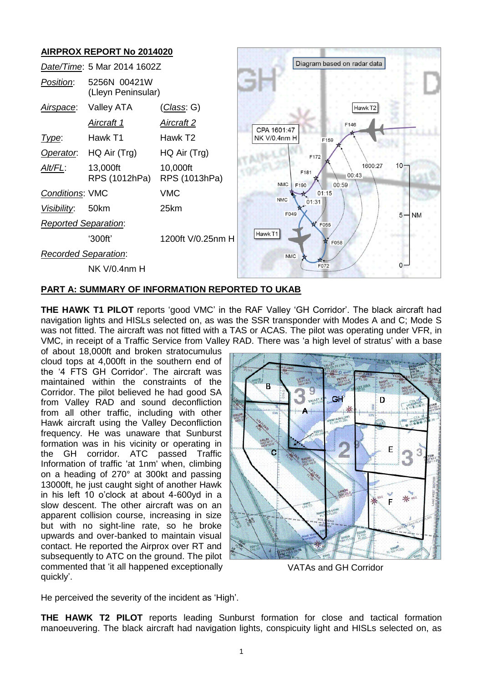# **AIRPROX REPORT No 2014020**



### **PART A: SUMMARY OF INFORMATION REPORTED TO UKAB**

**THE HAWK T1 PILOT** reports 'good VMC' in the RAF Valley 'GH Corridor'. The black aircraft had navigation lights and HISLs selected on, as was the SSR transponder with Modes A and C; Mode S was not fitted. The aircraft was not fitted with a TAS or ACAS. The pilot was operating under VFR, in VMC, in receipt of a Traffic Service from Valley RAD. There was 'a high level of stratus' with a base

of about 18,000ft and broken stratocumulus cloud tops at 4,000ft in the southern end of the '4 FTS GH Corridor'. The aircraft was maintained within the constraints of the Corridor. The pilot believed he had good SA from Valley RAD and sound deconfliction from all other traffic, including with other Hawk aircraft using the Valley Deconfliction frequency. He was unaware that Sunburst formation was in his vicinity or operating in the GH corridor. ATC passed Traffic Information of traffic 'at 1nm' when, climbing on a heading of 270° at 300kt and passing 13000ft, he just caught sight of another Hawk in his left 10 o'clock at about 4-600yd in a slow descent. The other aircraft was on an apparent collision course, increasing in size but with no sight-line rate, so he broke upwards and over-banked to maintain visual contact. He reported the Airprox over RT and subsequently to ATC on the ground. The pilot commented that 'it all happened exceptionally quickly'.



VATAs and GH Corridor

He perceived the severity of the incident as 'High'.

**THE HAWK T2 PILOT** reports leading Sunburst formation for close and tactical formation manoeuvering. The black aircraft had navigation lights, conspicuity light and HISLs selected on, as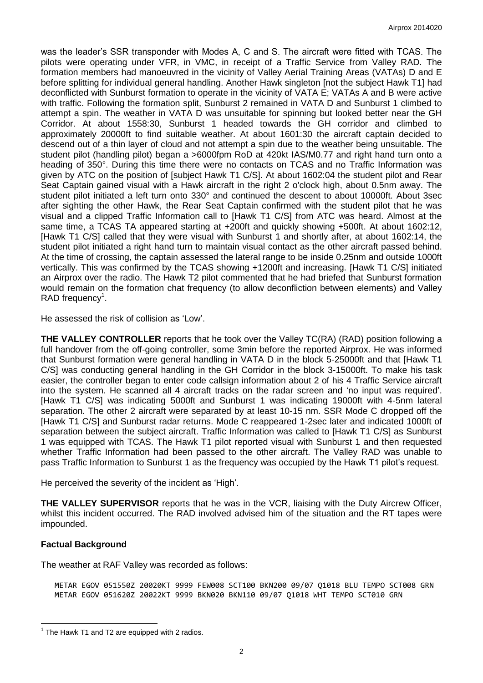was the leader's SSR transponder with Modes A, C and S. The aircraft were fitted with TCAS. The pilots were operating under VFR, in VMC, in receipt of a Traffic Service from Valley RAD. The formation members had manoeuvred in the vicinity of Valley Aerial Training Areas (VATAs) D and E before splitting for individual general handling. Another Hawk singleton [not the subject Hawk T1] had deconflicted with Sunburst formation to operate in the vicinity of VATA E; VATAs A and B were active with traffic. Following the formation split, Sunburst 2 remained in VATA D and Sunburst 1 climbed to attempt a spin. The weather in VATA D was unsuitable for spinning but looked better near the GH Corridor. At about 1558:30, Sunburst 1 headed towards the GH corridor and climbed to approximately 20000ft to find suitable weather. At about 1601:30 the aircraft captain decided to descend out of a thin layer of cloud and not attempt a spin due to the weather being unsuitable. The student pilot (handling pilot) began a >6000fpm RoD at 420kt IAS/M0.77 and right hand turn onto a heading of 350°. During this time there were no contacts on TCAS and no Traffic Information was given by ATC on the position of [subject Hawk T1 C/S]. At about 1602:04 the student pilot and Rear Seat Captain gained visual with a Hawk aircraft in the right 2 o'clock high, about 0.5nm away. The student pilot initiated a left turn onto 330° and continued the descent to about 10000ft. About 3sec after sighting the other Hawk, the Rear Seat Captain confirmed with the student pilot that he was visual and a clipped Traffic Information call to [Hawk T1 C/S] from ATC was heard. Almost at the same time, a TCAS TA appeared starting at +200ft and quickly showing +500ft. At about 1602:12, [Hawk T1 C/S] called that they were visual with Sunburst 1 and shortly after, at about 1602:14, the student pilot initiated a right hand turn to maintain visual contact as the other aircraft passed behind. At the time of crossing, the captain assessed the lateral range to be inside 0.25nm and outside 1000ft vertically. This was confirmed by the TCAS showing +1200ft and increasing. [Hawk T1 C/S] initiated an Airprox over the radio. The Hawk T2 pilot commented that he had briefed that Sunburst formation would remain on the formation chat frequency (to allow deconfliction between elements) and Valley RAD frequency<sup>1</sup>.

He assessed the risk of collision as 'Low'.

**THE VALLEY CONTROLLER** reports that he took over the Valley TC(RA) (RAD) position following a full handover from the off-going controller, some 3min before the reported Airprox. He was informed that Sunburst formation were general handling in VATA D in the block 5-25000ft and that [Hawk T1 C/S] was conducting general handling in the GH Corridor in the block 3-15000ft. To make his task easier, the controller began to enter code callsign information about 2 of his 4 Traffic Service aircraft into the system. He scanned all 4 aircraft tracks on the radar screen and 'no input was required'. [Hawk T1 C/S] was indicating 5000ft and Sunburst 1 was indicating 19000ft with 4-5nm lateral separation. The other 2 aircraft were separated by at least 10-15 nm. SSR Mode C dropped off the [Hawk T1 C/S] and Sunburst radar returns. Mode C reappeared 1-2sec later and indicated 1000ft of separation between the subject aircraft. Traffic Information was called to [Hawk T1 C/S] as Sunburst 1 was equipped with TCAS. The Hawk T1 pilot reported visual with Sunburst 1 and then requested whether Traffic Information had been passed to the other aircraft. The Valley RAD was unable to pass Traffic Information to Sunburst 1 as the frequency was occupied by the Hawk T1 pilot's request.

He perceived the severity of the incident as 'High'.

**THE VALLEY SUPERVISOR** reports that he was in the VCR, liaising with the Duty Aircrew Officer, whilst this incident occurred. The RAD involved advised him of the situation and the RT tapes were impounded.

# **Factual Background**

 $\overline{a}$ 

The weather at RAF Valley was recorded as follows:

METAR EGOV 051550Z 20020KT 9999 FEW008 SCT100 BKN200 09/07 Q1018 BLU TEMPO SCT008 GRN METAR EGOV 051620Z 20022KT 9999 BKN020 BKN110 09/07 Q1018 WHT TEMPO SCT010 GRN

 $1$  The Hawk T1 and T2 are equipped with 2 radios.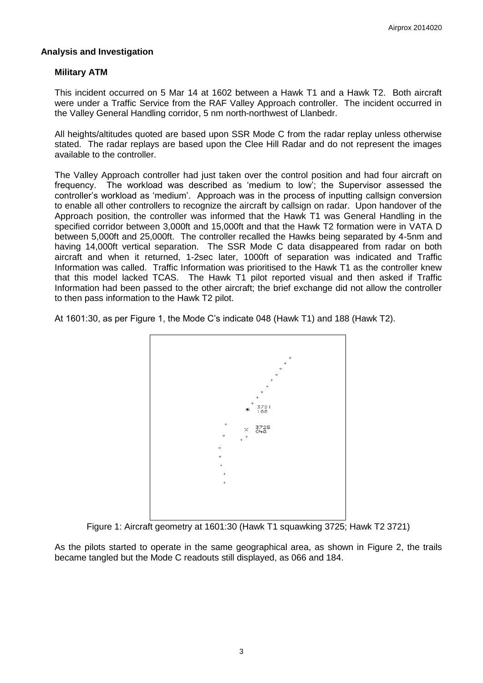# **Analysis and Investigation**

# **Military ATM**

This incident occurred on 5 Mar 14 at 1602 between a Hawk T1 and a Hawk T2. Both aircraft were under a Traffic Service from the RAF Valley Approach controller. The incident occurred in the Valley General Handling corridor, 5 nm north-northwest of Llanbedr.

All heights/altitudes quoted are based upon SSR Mode C from the radar replay unless otherwise stated. The radar replays are based upon the Clee Hill Radar and do not represent the images available to the controller.

The Valley Approach controller had just taken over the control position and had four aircraft on frequency. The workload was described as 'medium to low'; the Supervisor assessed the controller's workload as 'medium'. Approach was in the process of inputting callsign conversion to enable all other controllers to recognize the aircraft by callsign on radar. Upon handover of the Approach position, the controller was informed that the Hawk T1 was General Handling in the specified corridor between 3,000ft and 15,000ft and that the Hawk T2 formation were in VATA D between 5,000ft and 25,000ft. The controller recalled the Hawks being separated by 4-5nm and having 14,000ft vertical separation. The SSR Mode C data disappeared from radar on both aircraft and when it returned, 1-2sec later, 1000ft of separation was indicated and Traffic Information was called. Traffic Information was prioritised to the Hawk T1 as the controller knew that this model lacked TCAS. The Hawk T1 pilot reported visual and then asked if Traffic Information had been passed to the other aircraft; the brief exchange did not allow the controller to then pass information to the Hawk T2 pilot.

At 1601:30, as per Figure 1, the Mode C's indicate 048 (Hawk T1) and 188 (Hawk T2).



Figure 1: Aircraft geometry at 1601:30 (Hawk T1 squawking 3725; Hawk T2 3721)

As the pilots started to operate in the same geographical area, as shown in Figure 2, the trails became tangled but the Mode C readouts still displayed, as 066 and 184.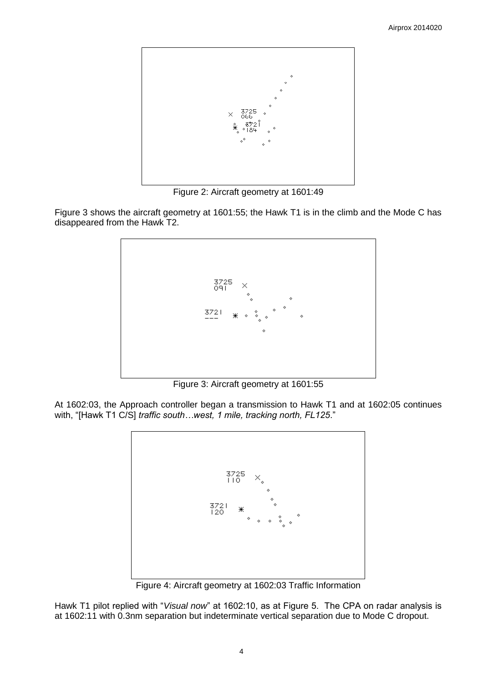

Figure 2: Aircraft geometry at 1601:49

Figure 3 shows the aircraft geometry at 1601:55; the Hawk T1 is in the climb and the Mode C has disappeared from the Hawk T2.



Figure 3: Aircraft geometry at 1601:55

At 1602:03, the Approach controller began a transmission to Hawk T1 and at 1602:05 continues with, "[Hawk T1 C/S] *traffic south…west, 1 mile, tracking north, FL125*."



Figure 4: Aircraft geometry at 1602:03 Traffic Information

Hawk T1 pilot replied with "*Visual now*" at 1602:10, as at Figure 5. The CPA on radar analysis is at 1602:11 with 0.3nm separation but indeterminate vertical separation due to Mode C dropout.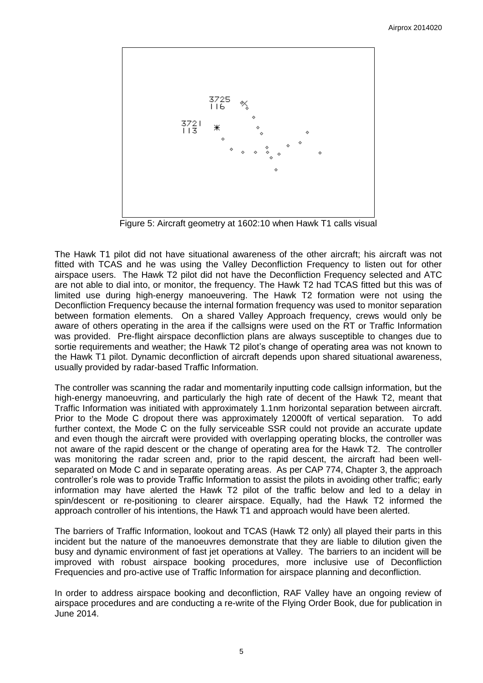

Figure 5: Aircraft geometry at 1602:10 when Hawk T1 calls visual

The Hawk T1 pilot did not have situational awareness of the other aircraft; his aircraft was not fitted with TCAS and he was using the Valley Deconfliction Frequency to listen out for other airspace users. The Hawk T2 pilot did not have the Deconfliction Frequency selected and ATC are not able to dial into, or monitor, the frequency. The Hawk T2 had TCAS fitted but this was of limited use during high-energy manoeuvering. The Hawk T2 formation were not using the Deconfliction Frequency because the internal formation frequency was used to monitor separation between formation elements. On a shared Valley Approach frequency, crews would only be aware of others operating in the area if the callsigns were used on the RT or Traffic Information was provided. Pre-flight airspace deconfliction plans are always susceptible to changes due to sortie requirements and weather; the Hawk T2 pilot's change of operating area was not known to the Hawk T1 pilot. Dynamic deconfliction of aircraft depends upon shared situational awareness, usually provided by radar-based Traffic Information.

The controller was scanning the radar and momentarily inputting code callsign information, but the high-energy manoeuvring, and particularly the high rate of decent of the Hawk T2, meant that Traffic Information was initiated with approximately 1.1nm horizontal separation between aircraft. Prior to the Mode C dropout there was approximately 12000ft of vertical separation. To add further context, the Mode C on the fully serviceable SSR could not provide an accurate update and even though the aircraft were provided with overlapping operating blocks, the controller was not aware of the rapid descent or the change of operating area for the Hawk T2. The controller was monitoring the radar screen and, prior to the rapid descent, the aircraft had been wellseparated on Mode C and in separate operating areas. As per CAP 774, Chapter 3, the approach controller's role was to provide Traffic Information to assist the pilots in avoiding other traffic; early information may have alerted the Hawk T2 pilot of the traffic below and led to a delay in spin/descent or re-positioning to clearer airspace. Equally, had the Hawk T2 informed the approach controller of his intentions, the Hawk T1 and approach would have been alerted.

The barriers of Traffic Information, lookout and TCAS (Hawk T2 only) all played their parts in this incident but the nature of the manoeuvres demonstrate that they are liable to dilution given the busy and dynamic environment of fast jet operations at Valley. The barriers to an incident will be improved with robust airspace booking procedures, more inclusive use of Deconfliction Frequencies and pro-active use of Traffic Information for airspace planning and deconfliction.

In order to address airspace booking and deconfliction, RAF Valley have an ongoing review of airspace procedures and are conducting a re-write of the Flying Order Book, due for publication in June 2014.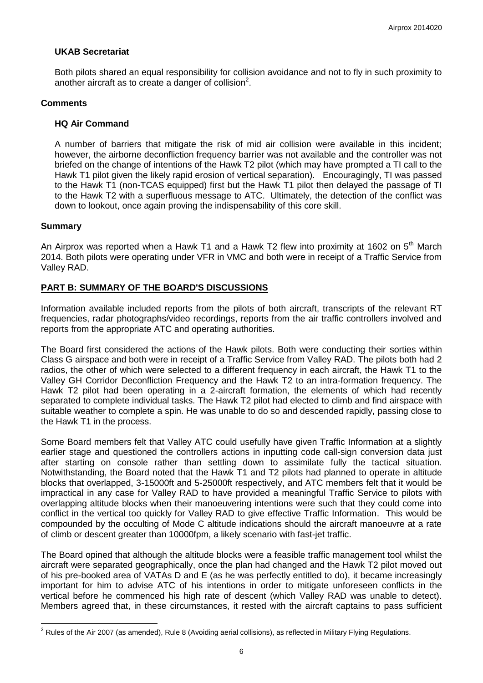# **UKAB Secretariat**

Both pilots shared an equal responsibility for collision avoidance and not to fly in such proximity to another aircraft as to create a danger of collision<sup>2</sup>.

#### **Comments**

#### **HQ Air Command**

A number of barriers that mitigate the risk of mid air collision were available in this incident; however, the airborne deconfliction frequency barrier was not available and the controller was not briefed on the change of intentions of the Hawk T2 pilot (which may have prompted a TI call to the Hawk T1 pilot given the likely rapid erosion of vertical separation). Encouragingly, TI was passed to the Hawk T1 (non-TCAS equipped) first but the Hawk T1 pilot then delayed the passage of TI to the Hawk T2 with a superfluous message to ATC. Ultimately, the detection of the conflict was down to lookout, once again proving the indispensability of this core skill.

### **Summary**

 $\overline{a}$ 

An Airprox was reported when a Hawk T1 and a Hawk T2 flew into proximity at 1602 on  $5<sup>th</sup>$  March 2014. Both pilots were operating under VFR in VMC and both were in receipt of a Traffic Service from Valley RAD.

# **PART B: SUMMARY OF THE BOARD'S DISCUSSIONS**

Information available included reports from the pilots of both aircraft, transcripts of the relevant RT frequencies, radar photographs/video recordings, reports from the air traffic controllers involved and reports from the appropriate ATC and operating authorities.

The Board first considered the actions of the Hawk pilots. Both were conducting their sorties within Class G airspace and both were in receipt of a Traffic Service from Valley RAD. The pilots both had 2 radios, the other of which were selected to a different frequency in each aircraft, the Hawk T1 to the Valley GH Corridor Deconfliction Frequency and the Hawk T2 to an intra-formation frequency. The Hawk T2 pilot had been operating in a 2-aircraft formation, the elements of which had recently separated to complete individual tasks. The Hawk T2 pilot had elected to climb and find airspace with suitable weather to complete a spin. He was unable to do so and descended rapidly, passing close to the Hawk T1 in the process.

Some Board members felt that Valley ATC could usefully have given Traffic Information at a slightly earlier stage and questioned the controllers actions in inputting code call-sign conversion data just after starting on console rather than settling down to assimilate fully the tactical situation. Notwithstanding, the Board noted that the Hawk T1 and T2 pilots had planned to operate in altitude blocks that overlapped, 3-15000ft and 5-25000ft respectively, and ATC members felt that it would be impractical in any case for Valley RAD to have provided a meaningful Traffic Service to pilots with overlapping altitude blocks when their manoeuvering intentions were such that they could come into conflict in the vertical too quickly for Valley RAD to give effective Traffic Information. This would be compounded by the occulting of Mode C altitude indications should the aircraft manoeuvre at a rate of climb or descent greater than 10000fpm, a likely scenario with fast-jet traffic.

The Board opined that although the altitude blocks were a feasible traffic management tool whilst the aircraft were separated geographically, once the plan had changed and the Hawk T2 pilot moved out of his pre-booked area of VATAs D and E (as he was perfectly entitled to do), it became increasingly important for him to advise ATC of his intentions in order to mitigate unforeseen conflicts in the vertical before he commenced his high rate of descent (which Valley RAD was unable to detect). Members agreed that, in these circumstances, it rested with the aircraft captains to pass sufficient

 $2$  Rules of the Air 2007 (as amended), Rule 8 (Avoiding aerial collisions), as reflected in Military Flying Regulations.